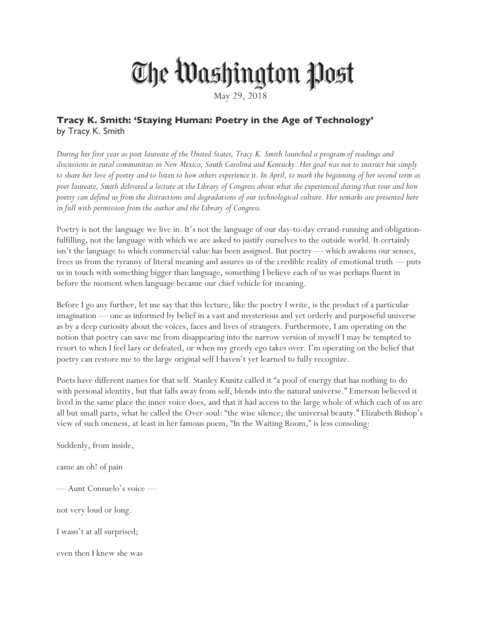## The Washington Post

May 29, 2018

## **Tracy K. Smith: 'Staying Human: Poetry in the Age of Technology'** by Tracy K. Smith

*During her first year as poet laureate of the United States, Tracy K. Smith launched a program of readings and discussions in rural communities in New Mexico, South Carolina and Kentucky. Her goal was not to instruct but simply to share her love of poetry and to listen to how others experience it. In April, to mark the beginning of her second term as poet laureate, Smith delivered a lecture at the Library of Congress about what she experienced during that tour and how poetry can defend us from the distractions and degradations of our technological culture. Her remarks are presented here in full with permission from the author and the Library of Congress.*

Poetry is not the language we live in. It's not the language of our day-to-day errand-running and obligationfulfilling, not the language with which we are asked to justify ourselves to the outside world. It certainly isn't the language to which commercial value has been assigned. But poetry — which awakens our senses, frees us from the tyranny of literal meaning and assures us of the credible reality of emotional truth — puts us in touch with something bigger than language, something I believe each of us was perhaps fluent in before the moment when language became our chief vehicle for meaning.

Before I go any further, let me say that this lecture, like the poetry I write, is the product of a particular imagination — one as informed by belief in a vast and mysterious and yet orderly and purposeful universe as by a deep curiosity about the voices, faces and lives of strangers. Furthermore, I am operating on the notion that poetry can save me from disappearing into the narrow version of myself I may be tempted to resort to when I feel lazy or defeated, or when my greedy ego takes over. I'm operating on the belief that poetry can restore me to the large original self I haven't yet learned to fully recognize.

Poets have different names for that self. Stanley Kunitz called it "a pool of energy that has nothing to do with personal identity, but that falls away from self, blends into the natural universe." Emerson believed it lived in the same place the inner voice does, and that it had access to the large whole of which each of us are all but small parts, what he called the Over-soul: "the wise silence; the universal beauty." Elizabeth Bishop's view of such oneness, at least in her famous poem, "In the Waiting Room," is less consoling:

Suddenly, from inside,

came an oh! of pain

— Aunt Consuelo's voice —

not very loud or long.

I wasn't at all surprised;

even then I knew she was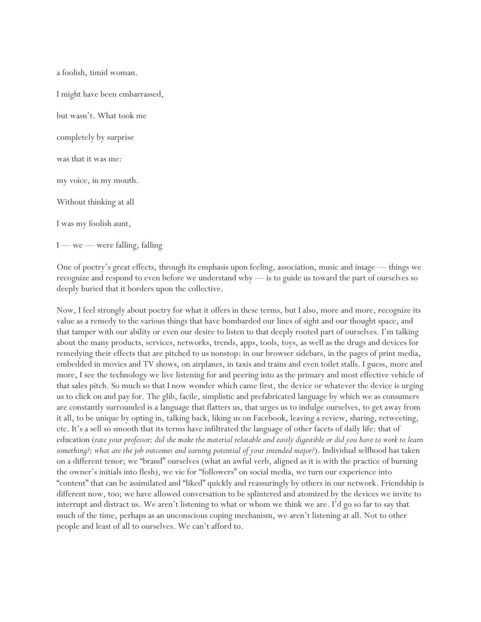a foolish, timid woman. I might have been embarrassed, but wasn't. What took me completely by surprise was that it was me: my voice, in my mouth. Without thinking at all I was my foolish aunt, I — we — were falling, falling

One of poetry's great effects, through its emphasis upon feeling, association, music and image — things we recognize and respond to even before we understand why — is to guide us toward the part of ourselves so deeply buried that it borders upon the collective.

Now, I feel strongly about poetry for what it offers in these terms, but I also, more and more, recognize its value as a remedy to the various things that have bombarded our lines of sight and our thought space, and that tamper with our ability or even our desire to listen to that deeply rooted part of ourselves. I'm talking about the many products, services, networks, trends, apps, tools, toys, as well as the drugs and devices for remedying their effects that are pitched to us nonstop: in our browser sidebars, in the pages of print media, embedded in movies and TV shows, on airplanes, in taxis and trains and even toilet stalls. I guess, more and more, I see the technology we live listening for and peering into as the primary and most effective vehicle of that sales pitch. So much so that I now wonder which came first, the device or whatever the device is urging us to click on and pay for. The glib, facile, simplistic and prefabricated language by which we as consumers are constantly surrounded is a language that flatters us, that urges us to indulge ourselves, to get away from it all, to be unique by opting in, talking back, liking us on Facebook, leaving a review, sharing, retweeting, etc. It's a sell so smooth that its terms have infiltrated the language of other facets of daily life: that of education (*rate your professor; did she make the material relatable and easily digestible or did you have to work to learn something?; what are the job outcomes and earning potential of your intended major?*). Individual selfhood has taken on a different tenor; we "brand" ourselves (what an awful verb, aligned as it is with the practice of burning the owner's initials into flesh), we vie for "followers" on social media, we turn our experience into "content" that can be assimilated and "liked" quickly and reassuringly by others in our network. Friendship is different now, too; we have allowed conversation to be splintered and atomized by the devices we invite to interrupt and distract us. We aren't listening to what or whom we think we are. I'd go so far to say that much of the time, perhaps as an unconscious coping mechanism, we aren't listening at all. Not to other people and least of all to ourselves. We can't afford to.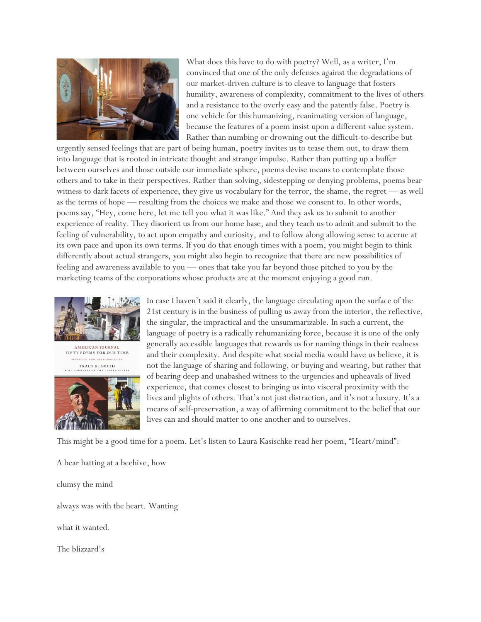

What does this have to do with poetry? Well, as a writer, I'm convinced that one of the only defenses against the degradations of our market-driven culture is to cleave to language that fosters humility, awareness of complexity, commitment to the lives of others and a resistance to the overly easy and the patently false. Poetry is one vehicle for this humanizing, reanimating version of language, because the features of a poem insist upon a different value system. Rather than numbing or drowning out the difficult-to-describe but

urgently sensed feelings that are part of being human, poetry invites us to tease them out, to draw them into language that is rooted in intricate thought and strange impulse. Rather than putting up a buffer between ourselves and those outside our immediate sphere, poems devise means to contemplate those others and to take in their perspectives. Rather than solving, sidestepping or denying problems, poems bear witness to dark facets of experience, they give us vocabulary for the terror, the shame, the regret — as well as the terms of hope — resulting from the choices we make and those we consent to. In other words, poems say, "Hey, come here, let me tell you what it was like." And they ask us to submit to another experience of reality. They disorient us from our home base, and they teach us to admit and submit to the feeling of vulnerability, to act upon empathy and curiosity, and to follow along allowing sense to accrue at its own pace and upon its own terms. If you do that enough times with a poem, you might begin to think differently about actual strangers, you might also begin to recognize that there are new possibilities of feeling and awareness available to you — ones that take you far beyond those pitched to you by the marketing teams of the corporations whose products are at the moment enjoying a good run.



In case I haven't said it clearly, the language circulating upon the surface of the 21st century is in the business of pulling us away from the interior, the reflective, the singular, the impractical and the unsummarizable. In such a current, the language of poetry is a radically rehumanizing force, because it is one of the only generally accessible languages that rewards us for naming things in their realness and their complexity. And despite what social media would have us believe, it is not the language of sharing and following, or buying and wearing, but rather that of bearing deep and unabashed witness to the urgencies and upheavals of lived experience, that comes closest to bringing us into visceral proximity with the lives and plights of others. That's not just distraction, and it's not a luxury. It's a means of self-preservation, a way of affirming commitment to the belief that our lives can and should matter to one another and to ourselves.

This might be a good time for a poem. Let's listen to Laura Kasischke read her poem, "Heart/mind":

A bear batting at a beehive, how clumsy the mind always was with the heart. Wanting what it wanted. The blizzard's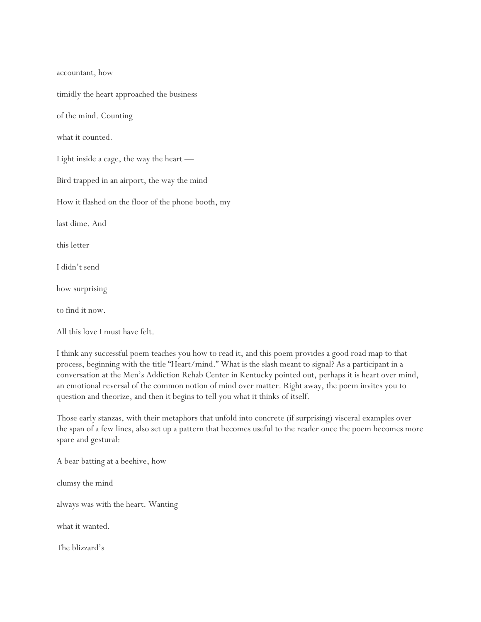accountant, how

timidly the heart approached the business

of the mind. Counting

what it counted.

Light inside a cage, the way the heart —

Bird trapped in an airport, the way the mind —

How it flashed on the floor of the phone booth, my

last dime. And

this letter

I didn't send

how surprising

to find it now.

All this love I must have felt.

I think any successful poem teaches you how to read it, and this poem provides a good road map to that process, beginning with the title "Heart/mind." What is the slash meant to signal? As a participant in a conversation at the Men's Addiction Rehab Center in Kentucky pointed out, perhaps it is heart over mind, an emotional reversal of the common notion of mind over matter. Right away, the poem invites you to question and theorize, and then it begins to tell you what it thinks of itself.

Those early stanzas, with their metaphors that unfold into concrete (if surprising) visceral examples over the span of a few lines, also set up a pattern that becomes useful to the reader once the poem becomes more spare and gestural:

A bear batting at a beehive, how

clumsy the mind

always was with the heart. Wanting

what it wanted.

The blizzard's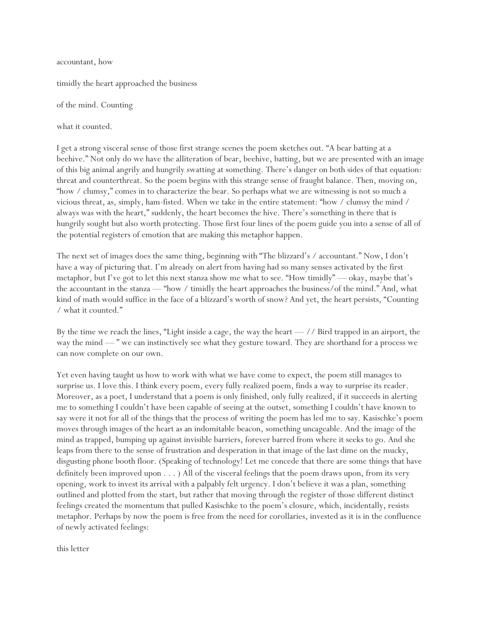## accountant, how

timidly the heart approached the business

## of the mind. Counting

what it counted.

I get a strong visceral sense of those first strange scenes the poem sketches out. "A bear batting at a beehive." Not only do we have the alliteration of bear, beehive, batting, but we are presented with an image of this big animal angrily and hungrily swatting at something. There's danger on both sides of that equation: threat and counterthreat. So the poem begins with this strange sense of fraught balance. Then, moving on, "how / clumsy," comes in to characterize the bear. So perhaps what we are witnessing is not so much a vicious threat, as, simply, ham-fisted. When we take in the entire statement: "how / clumsy the mind / always was with the heart," suddenly, the heart becomes the hive. There's something in there that is hungrily sought but also worth protecting. Those first four lines of the poem guide you into a sense of all of the potential registers of emotion that are making this metaphor happen.

The next set of images does the same thing, beginning with "The blizzard's / accountant." Now, I don't have a way of picturing that. I'm already on alert from having had so many senses activated by the first metaphor, but I've got to let this next stanza show me what to see. "How timidly" — okay, maybe that's the accountant in the stanza — "how / timidly the heart approaches the business/of the mind." And, what kind of math would suffice in the face of a blizzard's worth of snow? And yet, the heart persists, "Counting / what it counted."

By the time we reach the lines, "Light inside a cage, the way the heart — // Bird trapped in an airport, the way the mind — " we can instinctively see what they gesture toward. They are shorthand for a process we can now complete on our own.

Yet even having taught us how to work with what we have come to expect, the poem still manages to surprise us. I love this. I think every poem, every fully realized poem, finds a way to surprise its reader. Moreover, as a poet, I understand that a poem is only finished, only fully realized, if it succeeds in alerting me to something I couldn't have been capable of seeing at the outset, something I couldn't have known to say were it not for all of the things that the process of writing the poem has led me to say. Kasischke's poem moves through images of the heart as an indomitable beacon, something uncageable. And the image of the mind as trapped, bumping up against invisible barriers, forever barred from where it seeks to go. And she leaps from there to the sense of frustration and desperation in that image of the last dime on the mucky, disgusting phone booth floor. (Speaking of technology! Let me concede that there are some things that have definitely been improved upon . . . ) All of the visceral feelings that the poem draws upon, from its very opening, work to invest its arrival with a palpably felt urgency. I don't believe it was a plan, something outlined and plotted from the start, but rather that moving through the register of those different distinct feelings created the momentum that pulled Kasischke to the poem's closure, which, incidentally, resists metaphor. Perhaps by now the poem is free from the need for corollaries, invested as it is in the confluence of newly activated feelings:

this letter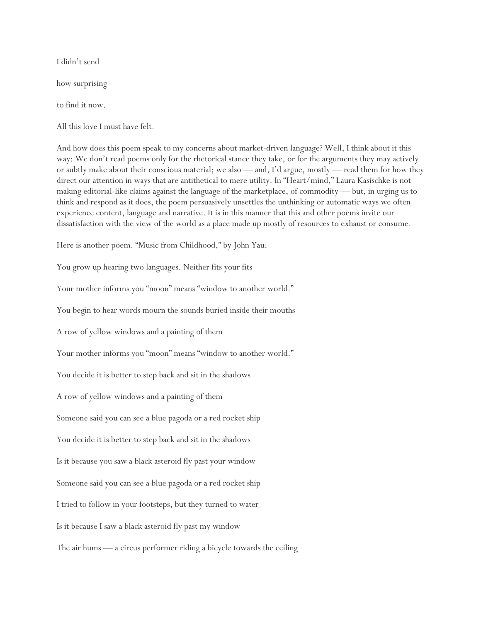I didn't send

how surprising

to find it now.

All this love I must have felt.

And how does this poem speak to my concerns about market-driven language? Well, I think about it this way: We don't read poems only for the rhetorical stance they take, or for the arguments they may actively or subtly make about their conscious material; we also — and, I'd argue, mostly — read them for how they direct our attention in ways that are antithetical to mere utility. In "Heart/mind," Laura Kasischke is not making editorial-like claims against the language of the marketplace, of commodity — but, in urging us to think and respond as it does, the poem persuasively unsettles the unthinking or automatic ways we often experience content, language and narrative. It is in this manner that this and other poems invite our dissatisfaction with the view of the world as a place made up mostly of resources to exhaust or consume.

Here is another poem. "Music from Childhood," by John Yau:

You grow up hearing two languages. Neither fits your fits

Your mother informs you "moon" means "window to another world."

You begin to hear words mourn the sounds buried inside their mouths

A row of yellow windows and a painting of them

Your mother informs you "moon" means "window to another world."

You decide it is better to step back and sit in the shadows

A row of yellow windows and a painting of them

Someone said you can see a blue pagoda or a red rocket ship

You decide it is better to step back and sit in the shadows

Is it because you saw a black asteroid fly past your window

Someone said you can see a blue pagoda or a red rocket ship

I tried to follow in your footsteps, but they turned to water

Is it because I saw a black asteroid fly past my window

The air hums — a circus performer riding a bicycle towards the ceiling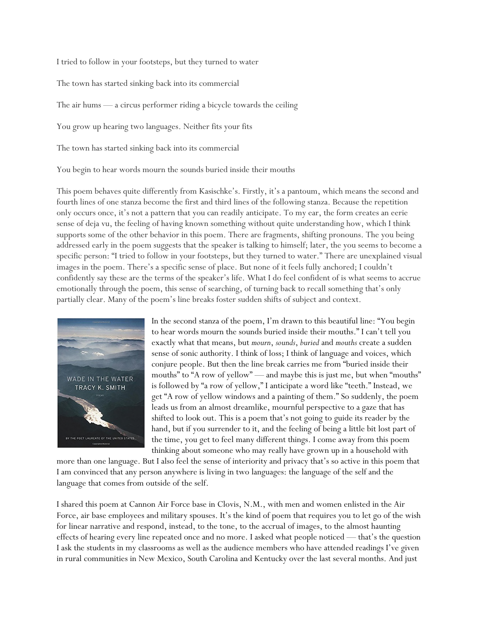I tried to follow in your footsteps, but they turned to water

The town has started sinking back into its commercial

The air hums — a circus performer riding a bicycle towards the ceiling

You grow up hearing two languages. Neither fits your fits

The town has started sinking back into its commercial

You begin to hear words mourn the sounds buried inside their mouths

This poem behaves quite differently from Kasischke's. Firstly, it's a pantoum, which means the second and fourth lines of one stanza become the first and third lines of the following stanza. Because the repetition only occurs once, it's not a pattern that you can readily anticipate. To my ear, the form creates an eerie sense of deja vu, the feeling of having known something without quite understanding how, which I think supports some of the other behavior in this poem. There are fragments, shifting pronouns. The you being addressed early in the poem suggests that the speaker is talking to himself; later, the you seems to become a specific person: "I tried to follow in your footsteps, but they turned to water." There are unexplained visual images in the poem. There's a specific sense of place. But none of it feels fully anchored; I couldn't confidently say these are the terms of the speaker's life. What I do feel confident of is what seems to accrue emotionally through the poem, this sense of searching, of turning back to recall something that's only partially clear. Many of the poem's line breaks foster sudden shifts of subject and context.



In the second stanza of the poem, I'm drawn to this beautiful line: "You begin to hear words mourn the sounds buried inside their mouths." I can't tell you exactly what that means, but *mourn*, *sounds*, *buried* and *mouths* create a sudden sense of sonic authority. I think of loss; I think of language and voices, which conjure people. But then the line break carries me from "buried inside their mouths" to "A row of yellow" — and maybe this is just me, but when "mouths" is followed by "a row of yellow," I anticipate a word like "teeth." Instead, we get "A row of yellow windows and a painting of them." So suddenly, the poem leads us from an almost dreamlike, mournful perspective to a gaze that has shifted to look out. This is a poem that's not going to guide its reader by the hand, but if you surrender to it, and the feeling of being a little bit lost part of the time, you get to feel many different things. I come away from this poem thinking about someone who may really have grown up in a household with

more than one language. But I also feel the sense of interiority and privacy that's so active in this poem that I am convinced that any person anywhere is living in two languages: the language of the self and the language that comes from outside of the self.

I shared this poem at Cannon Air Force base in Clovis, N.M., with men and women enlisted in the Air Force, air base employees and military spouses. It's the kind of poem that requires you to let go of the wish for linear narrative and respond, instead, to the tone, to the accrual of images, to the almost haunting effects of hearing every line repeated once and no more. I asked what people noticed — that's the question I ask the students in my classrooms as well as the audience members who have attended readings I've given in rural communities in New Mexico, South Carolina and Kentucky over the last several months. And just